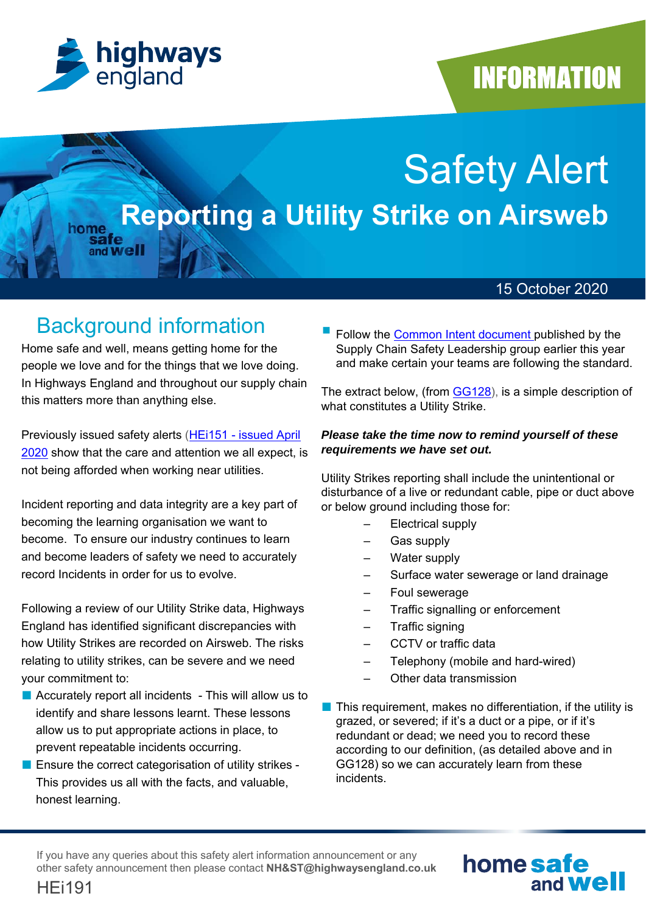

home

and **Well** 

## **INFORMATION**

# Safety Alert **Reporting a Utility Strike on Airsweb**

### 15 October 2020

## Background information

Home safe and well, means getting home for the people we love and for the things that we love doing. In Highways England and throughout our supply chain this matters more than anything else.

Previously issued safety alerts (HEi151 - issued April 2020 show that the care and attention we all expect, is not being afforded when working near utilities.

Incident reporting and data integrity are a key part of becoming the learning organisation we want to become. To ensure our industry continues to learn and become leaders of safety we need to accurately record Incidents in order for us to evolve.

Following a review of our Utility Strike data, Highways England has identified significant discrepancies with how Utility Strikes are recorded on Airsweb. The risks relating to utility strikes, can be severe and we need your commitment to:

- Accurately report all incidents This will allow us to identify and share lessons learnt. These lessons allow us to put appropriate actions in place, to prevent repeatable incidents occurring.
- Ensure the correct categorisation of utility strikes -This provides us all with the facts, and valuable, honest learning.

 Follow the Common Intent document published by the Supply Chain Safety Leadership group earlier this year and make certain your teams are following the standard.

The extract below, (from GG128), is a simple description of what constitutes a Utility Strike.

#### *Please take the time now to remind yourself of these requirements we have set out.*

Utility Strikes reporting shall include the unintentional or disturbance of a live or redundant cable, pipe or duct above or below ground including those for:

- Electrical supply
- Gas supply
- Water supply
- Surface water sewerage or land drainage
- Foul sewerage
- Traffic signalling or enforcement
- Traffic signing
- CCTV or traffic data
- Telephony (mobile and hard-wired)
- Other data transmission
- This requirement, makes no differentiation, if the utility is grazed, or severed; if it's a duct or a pipe, or if it's redundant or dead; we need you to record these according to our definition, (as detailed above and in GG128) so we can accurately learn from these incidents.

If you have any queries about this safety alert information announcement or any other safety announcement then please contact **NH&ST@highwaysengland.co.uk**



HEi191